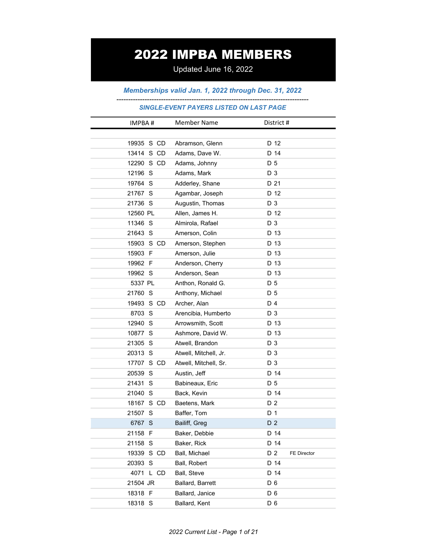# 2022 IMPBA MEMBERS

Updated June 16, 2022

*Memberships valid Jan. 1, 2022 through Dec. 31, 2022*

## *---------------------------------------------------------------------------------- SINGLE-EVENT PAYERS LISTED ON LAST PAGE*

| IMPBA#       | <b>Member Name</b>    | District #                |
|--------------|-----------------------|---------------------------|
|              |                       |                           |
| 19935 S CD   | Abramson, Glenn       | D 12                      |
| 13414 S CD   | Adams, Dave W.        | D 14                      |
| 12290 S CD   | Adams, Johnny         | D 5                       |
| 12196 S      | Adams, Mark           | D 3                       |
| 19764 S      | Adderley, Shane       | D 21                      |
| 21767 S      | Agambar, Joseph       | D 12                      |
| 21736 S      | Augustin, Thomas      | D 3                       |
| 12560 PL     | Allen, James H.       | D 12                      |
| 11346 S      | Almirola, Rafael      | D 3                       |
| 21643 S      | Amerson, Colin        | D 13                      |
| 15903 S CD   | Amerson, Stephen      | D 13                      |
| 15903 F      | Amerson, Julie        | D 13                      |
| 19962 F      | Anderson, Cherry      | D 13                      |
| 19962 S      | Anderson, Sean        | D 13                      |
| 5337 PL      | Anthon, Ronald G.     | D 5                       |
| 21760 S      | Anthony, Michael      | D 5                       |
| 19493 S CD   | Archer, Alan          | D 4                       |
| 8703 S       | Arencibia, Humberto   | D 3                       |
| 12940 S      | Arrowsmith, Scott     | D 13                      |
| 10877 S      | Ashmore, David W.     | D 13                      |
| 21305 S      | Atwell, Brandon       | D 3                       |
| 20313 S      | Atwell, Mitchell, Jr. | D 3                       |
| 17707 S CD   | Atwell, Mitchell, Sr. | D 3                       |
| 20539 S      | Austin, Jeff          | D 14                      |
| 21431 S      | Babineaux, Eric       | D 5                       |
| 21040 S      | Back, Kevin           | D 14                      |
| 18167 S CD   | Baetens, Mark         | D 2                       |
| 21507 S      | Baffer, Tom           | D <sub>1</sub>            |
| 6767 S       | Bailiff, Greg         | D 2                       |
| 21158 F      | Baker, Debbie         | D 14                      |
| 21158 S      | Baker, Rick           | D 14                      |
| 19339 S CD   | Ball, Michael         | D 2<br><b>FE Director</b> |
| 20393 S      | Ball, Robert          | D 14                      |
| 4071<br>L CD | Ball, Steve           | D 14                      |
| 21504 JR     | Ballard, Barrett      | $D_6$                     |
| 18318 F      | Ballard, Janice       | D 6                       |
| 18318 S      | Ballard, Kent         | D <sub>6</sub>            |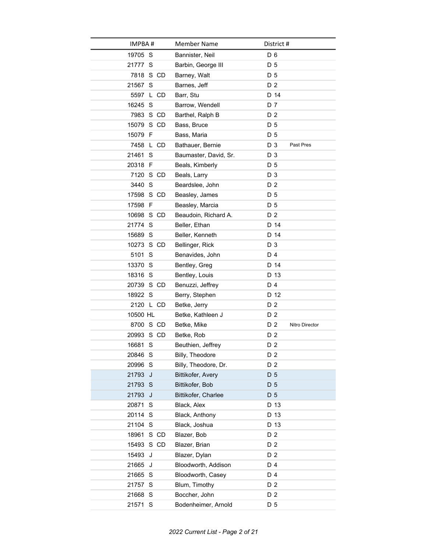| IMPBA#     | <b>Member Name</b>    | District #            |
|------------|-----------------------|-----------------------|
| 19705 S    | Bannister, Neil       | D 6                   |
| 21777 S    | Barbin, George III    | D 5                   |
| 7818 S CD  | Barney, Walt          | D 5                   |
| 21567 S    | Barnes, Jeff          | D <sub>2</sub>        |
| 5597 L CD  | Barr, Stu             | D 14                  |
| 16245 S    | Barrow, Wendell       | D 7                   |
| 7983 S CD  | Barthel, Ralph B      | D <sub>2</sub>        |
| 15079 S CD | Bass, Bruce           | D 5                   |
| 15079 F    | Bass, Maria           | D 5                   |
| 7458 L CD  | Bathauer, Bernie      | D 3<br>Past Pres      |
| 21461 S    | Baumaster, David, Sr. | D 3                   |
| 20318 F    | Beals, Kimberly       | D 5                   |
| 7120 S CD  | Beals, Larry          | D 3                   |
| 3440 S     | Beardslee, John       | D 2                   |
| 17598 S CD | Beasley, James        | D 5                   |
| 17598 F    | Beasley, Marcia       | D 5                   |
| 10698 S CD | Beaudoin, Richard A.  | D <sub>2</sub>        |
| 21774 S    | Beller, Ethan         | D 14                  |
| 15689 S    | Beller, Kenneth       | D 14                  |
| 10273 S CD | Bellinger, Rick       | D 3                   |
| 5101 S     | Benavides, John       | D 4                   |
| 13370 S    | Bentley, Greg         | D 14                  |
| 18316 S    | Bentley, Louis        | D 13                  |
| 20739 S CD | Benuzzi, Jeffrey      | D 4                   |
| 18922 S    | Berry, Stephen        | D 12                  |
| 2120 L CD  | Betke, Jerry          | D <sub>2</sub>        |
| 10500 HL   | Betke, Kathleen J     | D 2                   |
| 8700 S CD  | Betke, Mike           | D 2<br>Nitro Director |
| 20993 S CD | Betke, Rob            | D <sub>2</sub>        |
| 16681 S    | Beuthien, Jeffrey     | D 2                   |
| 20846 S    | Billy, Theodore       | D <sub>2</sub>        |
| 20996 S    | Billy, Theodore, Dr.  | D 2                   |
| 21793 J    | Bittikofer, Avery     | D <sub>5</sub>        |
| 21793 S    | Bittikofer, Bob       | D 5                   |
| 21793 J    | Bittikofer, Charlee   | D 5                   |
| 20871 S    | Black, Alex           | D 13                  |
| 20114 S    | Black, Anthony        | D 13                  |
| 21104 S    | Black, Joshua         | D 13                  |
| 18961 S CD | Blazer, Bob           | D 2                   |
| 15493 S CD | Blazer, Brian         | D 2                   |
| 15493<br>J | Blazer, Dylan         | D 2                   |
| 21665 J    | Bloodworth, Addison   | D 4                   |
| 21665 S    | Bloodworth, Casey     | D 4                   |
| 21757 S    | Blum, Timothy         | D 2                   |
| 21668 S    | Boccher, John         | D 2                   |
| 21571 S    | Bodenheimer, Arnold   | D 5                   |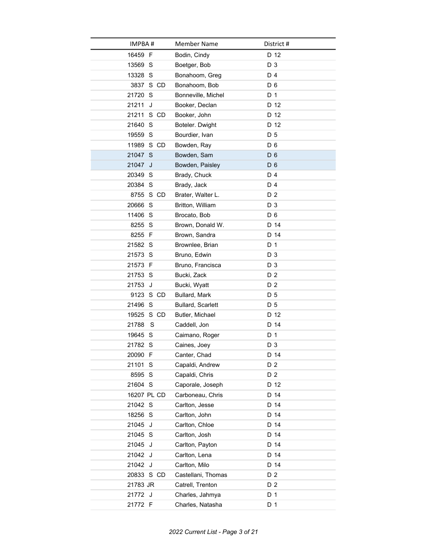| IMPBA#        | <b>Member Name</b>       | District #     |
|---------------|--------------------------|----------------|
| 16459 F       | Bodin, Cindy             | D 12           |
| 13569 S       | Boetger, Bob             | D 3            |
| 13328 S       | Bonahoom, Greg           | D 4            |
| 3837 S CD     | Bonahoom, Bob            | D <sub>6</sub> |
| 21720 S       | Bonneville, Michel       | D 1            |
| 21211<br>J    | Booker, Declan           | D 12           |
| 21211<br>S CD | Booker, John             | D 12           |
| 21640 S       | Boteler. Dwight          | D 12           |
| 19559 S       | Bourdier, Ivan           | D 5            |
| 11989 S CD    | Bowden, Ray              | $D_6$          |
| 21047 S       | Bowden, Sam              | D <sub>6</sub> |
| 21047<br>J    | Bowden, Paisley          | D <sub>6</sub> |
| 20349 S       | Brady, Chuck             | D 4            |
| 20384 S       | Brady, Jack              | D 4            |
| 8755 S CD     | Brater, Walter L.        | D 2            |
| 20666 S       | Britton, William         | D 3            |
| 11406 S       | Brocato, Bob             | D <sub>6</sub> |
| 8255 S        | Brown, Donald W.         | D 14           |
| 8255 F        | Brown, Sandra            | D 14           |
| 21582 S       | Brownlee, Brian          | D 1            |
| 21573 S       | Bruno, Edwin             | D 3            |
| 21573 F       | Bruno, Francisca         | D 3            |
| 21753 S       | Bucki, Zack              | D <sub>2</sub> |
| 21753<br>J    | Bucki, Wyatt             | D 2            |
| 9123 S CD     | Bullard, Mark            | D 5            |
| 21496 S       | <b>Bullard, Scarlett</b> | D 5            |
| 19525 S CD    | Butler, Michael          | D 12           |
| S<br>21788    | Caddell, Jon             | D 14           |
| 19645 S       | Caimano, Roger           | D 1            |
| 21782 S       | Caines, Joey             | D 3            |
| 20090 F       | Canter, Chad             | D 14           |
| 21101 S       | Capaldi, Andrew          | D <sub>2</sub> |
| 8595 S        | Capaldi, Chris           | D 2            |
| 21604 S       | Caporale, Joseph         | D 12           |
| 16207 PL CD   | Carboneau, Chris         | D 14           |
| 21042 S       | Carlton, Jesse           | D 14           |
| 18256 S       | Carlton, John            | D 14           |
| 21045 J       | Carlton, Chloe           | D 14           |
| 21045 S       | Carlton, Josh            | D 14           |
| 21045 J       | Carlton, Payton          | D 14           |
| 21042 J       | Carlton, Lena            | D 14           |
| 21042 J       | Carlton, Milo            | D 14           |
| 20833 S CD    | Castellani, Thomas       | D 2            |
| 21783 JR      | Catrell, Trenton         | D 2            |
| 21772 J       | Charles, Jahmya          | D 1            |
| 21772 F       | Charles, Natasha         | D 1            |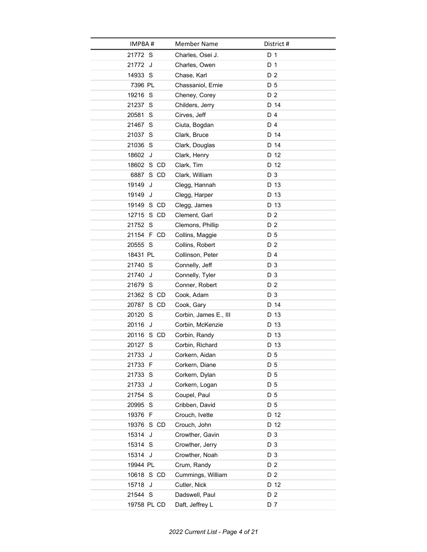| IMPBA#      | <b>Member Name</b>    | District #     |
|-------------|-----------------------|----------------|
| 21772 S     | Charles, Osei J.      | D <sub>1</sub> |
| 21772 J     | Charles, Owen         | D 1            |
| 14933 S     | Chase, Karl           | D 2            |
| 7396 PL     | Chassaniol, Ernie     | D 5            |
| 19216 S     | Cheney, Corey         | D 2            |
| 21237 S     | Childers, Jerry       | D 14           |
| 20581 S     | Cirves, Jeff          | D 4            |
| 21467 S     | Ciuta, Bogdan         | D 4            |
| 21037 S     | Clark, Bruce          | D 14           |
| 21036 S     | Clark, Douglas        | D 14           |
| 18602 J     | Clark, Henry          | D 12           |
| 18602 S CD  | Clark, Tim            | D 12           |
| 6887 S CD   | Clark, William        | D 3            |
| 19149<br>J  | Clegg, Hannah         | D 13           |
| 19149 J     | Clegg, Harper         | D 13           |
| 19149 S CD  | Clegg, James          | D 13           |
| 12715 S CD  | Clement, Garl         | D 2            |
| 21752 S     | Clemons, Phillip      | D 2            |
| 21154 F CD  | Collins, Maggie       | D 5            |
| 20555 S     | Collins, Robert       | D <sub>2</sub> |
| 18431 PL    | Collinson, Peter      | D 4            |
| 21740 S     | Connelly, Jeff        | D 3            |
| 21740<br>J  | Connelly, Tyler       | D 3            |
| 21679 S     | Conner, Robert        | D 2            |
| 21362 S CD  | Cook, Adam            | D 3            |
| 20787 S CD  | Cook, Gary            | D 14           |
| 20120 S     | Corbin, James E., III | D 13           |
| 20116<br>J  | Corbin, McKenzie      | D 13           |
| 20116 S CD  | Corbin, Randy         | D 13           |
| 20127 S     | Corbin, Richard       | D 13           |
| 21733 J     | Corkern, Aidan        | D 5            |
| 21733 F     | Corkern, Diane        | D 5            |
| 21733 S     | Corkern, Dylan        | D 5            |
| 21733 J     | Corkern, Logan        | D 5            |
| 21754 S     | Coupel, Paul          | D 5            |
| 20995 S     | Cribben, David        | D 5            |
| 19376 F     | Crouch, Ivette        | D 12           |
| 19376 S CD  | Crouch, John          | D 12           |
| 15314 J     | Crowther, Gavin       | D 3            |
| 15314 S     | Crowther, Jerry       | D 3            |
| 15314 J     | Crowther, Noah        | D 3            |
| 19944 PL    | Crum, Randy           | D 2            |
| 10618 S CD  | Cummings, William     | D 2            |
| 15718 J     | Cutler, Nick          | D 12           |
| 21544 S     | Dadswell, Paul        | D 2            |
| 19758 PL CD | Daft, Jeffrey L       | D 7            |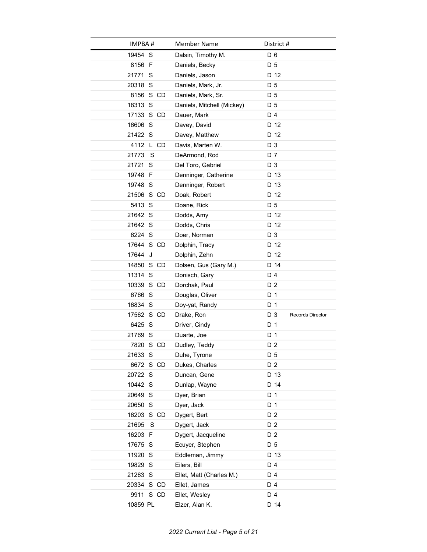| IMPBA#     | <b>Member Name</b>         | District #              |
|------------|----------------------------|-------------------------|
| 19454 S    | Dalsin, Timothy M.         | D <sub>6</sub>          |
| 8156 F     | Daniels, Becky             | D 5                     |
| 21771 S    | Daniels, Jason             | D 12                    |
| 20318 S    | Daniels, Mark, Jr.         | D 5                     |
| 8156 S CD  | Daniels, Mark, Sr.         | D 5                     |
| 18313 S    | Daniels, Mitchell (Mickey) | D 5                     |
| 17133 S CD | Dauer, Mark                | D 4                     |
| 16606 S    | Davey, David               | D 12                    |
| 21422 S    | Davey, Matthew             | D 12                    |
| 4112 L CD  | Davis, Marten W.           | D 3                     |
| 21773<br>S | DeArmond, Rod              | D 7                     |
| 21721 S    | Del Toro, Gabriel          | D 3                     |
| 19748 F    | Denninger, Catherine       | D 13                    |
| 19748 S    | Denninger, Robert          | D 13                    |
| 21506 S CD | Doak, Robert               | D 12                    |
| 5413 S     | Doane, Rick                | D 5                     |
| 21642 S    | Dodds, Amy                 | D 12                    |
| 21642 S    | Dodds, Chris               | D 12                    |
| 6224 S     | Doer, Norman               | D 3                     |
| 17644 S CD | Dolphin, Tracy             | D 12                    |
| 17644<br>J | Dolphin, Zehn              | D 12                    |
| 14850 S CD | Dolsen, Gus (Gary M.)      | D 14                    |
| 11314 S    | Donisch, Gary              | D 4                     |
| 10339 S CD | Dorchak, Paul              | D 2                     |
| 6766 S     | Douglas, Oliver            | D 1                     |
| 16834 S    | Doy-yat, Randy             | D 1                     |
| 17562 S CD | Drake, Ron                 | D 3<br>Records Director |
| 6425 S     | Driver, Cindy              | D <sub>1</sub>          |
| 21769 S    | Duarte, Joe                | D 1                     |
| 7820 S CD  | Dudley, Teddy              | D 2                     |
| 21633 S    | Duhe, Tyrone               | D 5                     |
| 6672 S CD  | Dukes, Charles             | D 2                     |
| 20722 S    | Duncan, Gene               | D 13                    |
| 10442 S    | Dunlap, Wayne              | D 14                    |
| 20649 S    | Dyer, Brian                | D 1                     |
| 20650 S    | Dyer, Jack                 | D 1                     |
| 16203 S CD | Dygert, Bert               | D 2                     |
| S<br>21695 | Dygert, Jack               | D 2                     |
| 16203 F    | Dygert, Jacqueline         | D 2                     |
| 17675 S    | Ecuyer, Stephen            | D 5                     |
| 11920 S    | Eddleman, Jimmy            | D 13                    |
| 19829 S    | Eilers, Bill               | D 4                     |
| 21263 S    | Ellet, Matt (Charles M.)   | D 4                     |
| 20334 S CD | Ellet, James               | D 4                     |
| 9911 S CD  | Ellet, Wesley              | D 4                     |
| 10859 PL   | Elzer, Alan K.             | D 14                    |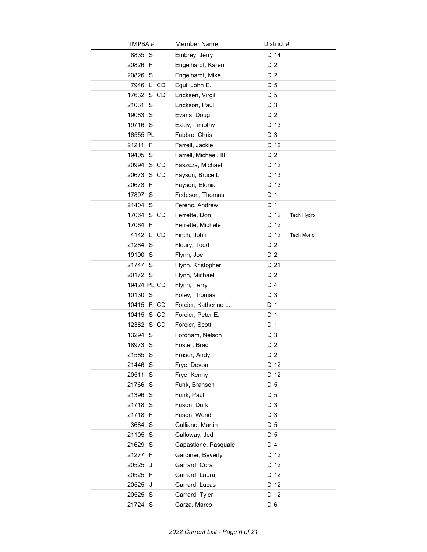| <b>IMPBA#</b> | <b>Member Name</b>    | District #         |
|---------------|-----------------------|--------------------|
| 8835 S        | Embrey, Jerry         | D 14               |
| 20826 F       | Engelhardt, Karen     | D 2                |
| 20826 S       | Engelhardt, Mike      | D 2                |
| 7946 L CD     | Equi, John E.         | D 5                |
| 17632 S CD    | Ericksen, Virgil      | D <sub>5</sub>     |
| 21031 S       | Erickson, Paul        | D 3                |
| 19083 S       | Evans, Doug           | D 2                |
| 19716 S       | Exley, Timothy        | D 13               |
| 16555 PL      | Fabbro, Chris         | D 3                |
| 21211 F       | Farrell, Jackie       | D 12               |
| 19405 S       | Farrell, Michael, III | D 2                |
| 20994 S CD    | Faszcza, Michael      | D 12               |
| 20673 S CD    | Fayson, Bruce L       | D 13               |
| 20673 F       | Fayson, Etonia        | D 13               |
| 17897 S       | Fedeson. Thomas       | D 1                |
| 21404 S       | Ferenc, Andrew        | D 1                |
| 17064 S CD    | Ferrette, Don         | D 12<br>Tech Hydro |
| 17064 F       | Ferrette, Michele     | D 12               |
| 4142 L CD     | Finch, John           | D 12<br>Tech Mono  |
| 21284 S       | Fleury, Todd          | D 2                |
| 19190 S       | Flynn, Joe            | D 2                |
| 21747 S       | Flynn, Kristopher     | D 21               |
| 20172 S       | Flynn, Michael        | D 2                |
| 19424 PL CD   | Flynn, Terry          | D 4                |
| 10130 S       | Foley, Thomas         | D 3                |
| 10415 F CD    | Forcier, Katherine L. | D 1                |
| 10415 S CD    | Forcier, Peter E.     | D 1                |
| 12382 S CD    | Forcier, Scott        | D <sub>1</sub>     |
| 13294 S       | Fordham, Nelson       | D 3                |
| 18973 S       | Foster, Brad          | D 2                |
| 21585 S       | Fraser, Andy          | D 2                |
| 21446 S       | Frye, Devon           | D 12               |
| 20511 S       | Frye, Kenny           | D 12               |
| 21766 S       | Funk, Branson         | D 5                |
| 21396 S       | Funk, Paul            | D 5                |
| 21718 S       | Fuson, Durk           | D 3                |
| 21718 F       | Fuson, Wendi          | D 3                |
| 3684 S        | Galliano, Martin      | D 5                |
| 21105 S       | Galloway, Jed         | D 5                |
| 21629 S       | Gapastione, Pasquale  | D 4                |
| 21277 F       | Gardiner, Beverly     | D 12               |
| 20525 J       | Garrard, Cora         | D 12               |
| 20525 F       | Garrard, Laura        | D 12               |
| 20525 J       | Garrard, Lucas        | D 12               |
| 20525 S       | Garrard, Tyler        | D 12               |
| 21724 S       | Garza, Marco          | D <sub>6</sub>     |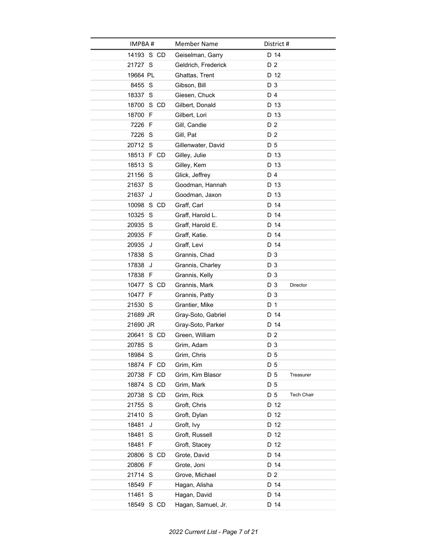| IMPBA #       | <b>Member Name</b>  | District #                  |  |
|---------------|---------------------|-----------------------------|--|
| 14193 S CD    | Geiselman, Garry    | D 14                        |  |
| 21727 S       | Geldrich, Frederick | D 2                         |  |
| 19664 PL      | Ghattas, Trent      | D 12                        |  |
| 8455 S        | Gibson, Bill        | D 3                         |  |
| 18337 S       | Giesen, Chuck       | D 4                         |  |
| 18700 S CD    | Gilbert, Donald     | D 13                        |  |
| 18700 F       | Gilbert, Lori       | D 13                        |  |
| 7226 F        | Gill, Candie        | D <sub>2</sub>              |  |
| 7226 S        | Gill, Pat           | D 2                         |  |
| 20712 S       | Gillenwater, David  | D 5                         |  |
| 18513 F CD    | Gilley, Julie       | D 13                        |  |
| 18513 S       | Gilley, Kem         | D 13                        |  |
| 21156 S       | Glick, Jeffrey      | D 4                         |  |
| 21637 S       | Goodman, Hannah     | D 13                        |  |
| 21637 J       | Goodman, Jaxon      | D 13                        |  |
| 10098 S CD    | Graff, Carl         | D 14                        |  |
| 10325 S       | Graff, Harold L.    | D 14                        |  |
| 20935 S       | Graff, Harold E.    | D 14                        |  |
| 20935 F       | Graff, Katie.       | D 14                        |  |
| 20935 J       | Graff, Levi         | D 14                        |  |
| 17838 S       | Grannis, Chad       | D 3                         |  |
| 17838 J       | Grannis, Charley    | D 3                         |  |
| 17838 F       | Grannis, Kelly      | D 3                         |  |
| 10477 S CD    | Grannis, Mark       | D 3<br>Director             |  |
| 10477 F       | Grannis, Patty      | D 3                         |  |
| 21530 S       | Grantier, Mike      | D 1                         |  |
| 21689 JR      | Gray-Soto, Gabriel  | D 14                        |  |
| 21690 JR      | Gray-Soto, Parker   | D 14                        |  |
| 20641 S CD    | Green, William      | D 2                         |  |
| 20785 S       | Grim, Adam          | D <sub>3</sub>              |  |
| 18984 S       | Grim, Chris         | D 5                         |  |
| 18874 F CD    | Grim, Kim           | D 5                         |  |
| 20738 F CD    | Grim, Kim Blasor    | D <sub>5</sub><br>Treasurer |  |
| 18874 S CD    | Grim, Mark          | D 5                         |  |
| 20738 S CD    | Grim, Rick          | D 5<br><b>Tech Chair</b>    |  |
| 21755<br>-S   | Groft, Chris        | D 12                        |  |
| 21410 S       | Groft, Dylan        | D 12                        |  |
| 18481<br>J    | Groft, Ivy          | D 12<br>D 12                |  |
| 18481 S       | Groft, Russell      |                             |  |
| 18481 F       | Groft, Stacey       | D 12                        |  |
| S CD<br>20806 | Grote, David        | D 14<br>D 14                |  |
| 20806 F       | Grote, Joni         |                             |  |
| 21714 S       | Grove, Michael      | D <sub>2</sub>              |  |
| 18549 F       | Hagan, Alisha       | D 14                        |  |
| 11461 S       | Hagan, David        | D 14                        |  |
| 18549 S CD    | Hagan, Samuel, Jr.  | D 14                        |  |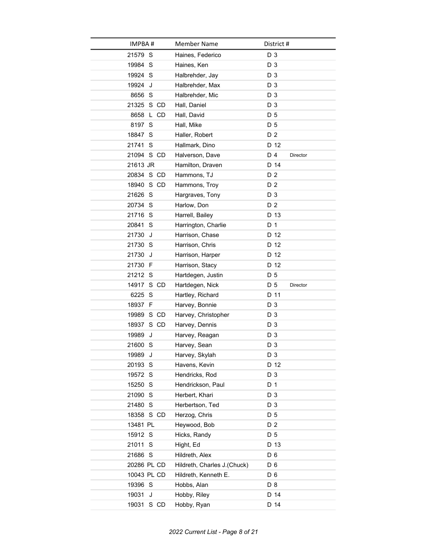| <b>IMPBA#</b> | <b>Member Name</b>          | District #      |
|---------------|-----------------------------|-----------------|
| 21579 S       | Haines, Federico            | D 3             |
| 19984 S       | Haines, Ken                 | D 3             |
| 19924 S       | Halbrehder, Jay             | D 3             |
| 19924 J       | Halbrehder, Max             | D <sub>3</sub>  |
| 8656 S        | Halbrehder, Mic             | D 3             |
| 21325 S CD    | Hall, Daniel                | D 3             |
| L CD<br>8658  | Hall, David                 | D 5             |
| 8197 S        | Hall, Mike                  | D 5             |
| 18847 S       | Haller, Robert              | D 2             |
| 21741 S       | Hallmark, Dino              | D 12            |
| 21094 S CD    | Halverson, Dave             | D 4<br>Director |
| 21613 JR      | Hamilton, Draven            | D 14            |
| 20834 S CD    | Hammons, TJ                 | D 2             |
| 18940 S CD    | Hammons, Troy               | D <sub>2</sub>  |
| 21626 S       | Hargraves, Tony             | D 3             |
| 20734 S       | Harlow, Don                 | D <sub>2</sub>  |
| 21716 S       | Harrell, Bailey             | D 13            |
| 20841 S       | Harrington, Charlie         | D 1             |
| 21730<br>J    | Harrison, Chase             | D 12            |
| 21730 S       | Harrison, Chris             | D 12            |
| 21730 J       | Harrison, Harper            | D 12            |
| 21730 F       | Harrison, Stacy             | D 12            |
| 21212 S       | Hartdegen, Justin           | D <sub>5</sub>  |
| 14917 S CD    | Hartdegen, Nick             | D 5<br>Director |
| 6225 S        | Hartley, Richard            | D 11            |
| 18937 F       | Harvey, Bonnie              | D 3             |
| 19989 S CD    | Harvey, Christopher         | D 3             |
| 18937<br>S CD | Harvey, Dennis              | D 3             |
| 19989<br>J    | Harvey, Reagan              | D 3             |
| 21600 S       | Harvey, Sean                | D 3             |
| 19989 J       | Harvey, Skylah              | D 3             |
| 20193 S       | Havens, Kevin               | D 12            |
| 19572 S       | Hendricks, Rod              | D 3             |
| 15250 S       | Hendrickson, Paul           | D 1             |
| 21090 S       | Herbert, Khari              | D 3             |
| 21480 S       | Herbertson, Ted             | D 3             |
| 18358 S CD    | Herzog, Chris               | D 5             |
| 13481 PL      | Heywood, Bob                | D 2             |
| 15912 S       | Hicks, Randy                | D 5             |
| 21011 S       | Hight, Ed                   | D 13            |
| 21686 S       | Hildreth, Alex              | D <sub>6</sub>  |
| 20286 PL CD   | Hildreth, Charles J.(Chuck) | D <sub>6</sub>  |
| 10043 PL CD   | Hildreth, Kenneth E.        | D 6             |
| 19396 S       | Hobbs, Alan                 | D <sub>8</sub>  |
| 19031<br>J    | Hobby, Riley                | D 14            |
| 19031 S CD    | Hobby, Ryan                 | D 14            |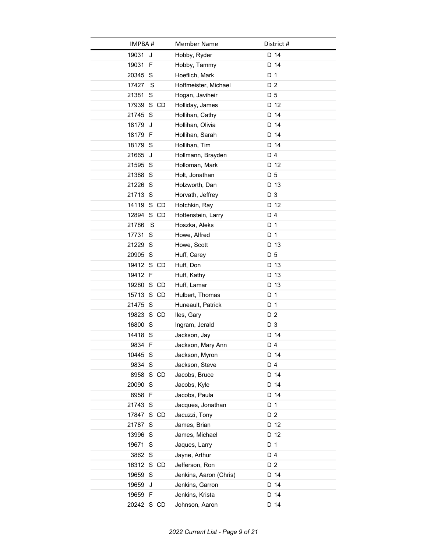| <b>IMPBA#</b> | <b>Member Name</b>     | District #     |
|---------------|------------------------|----------------|
| 19031<br>J    | Hobby, Ryder           | D 14           |
| 19031 F       | Hobby, Tammy           | D 14           |
| 20345 S       | Hoeflich, Mark         | D 1            |
| 17427<br>S    | Hoffmeister, Michael   | D 2            |
| 21381 S       | Hogan, Javiheir        | D 5            |
| 17939 S CD    | Holliday, James        | D 12           |
| 21745 S       | Hollihan, Cathy        | D 14           |
| 18179<br>J    | Hollihan, Olivia       | D 14           |
| 18179 F       | Hollihan, Sarah        | D 14           |
| 18179 S       | Hollihan, Tim          | D 14           |
| 21665 J       | Hollmann, Brayden      | D 4            |
| 21595 S       | Holloman, Mark         | D 12           |
| 21388 S       | Holt, Jonathan         | D 5            |
| 21226 S       | Holzworth, Dan         | D 13           |
| 21713 S       | Horvath, Jeffrey       | D 3            |
| 14119 S CD    | Hotchkin, Ray          | D 12           |
| 12894 S CD    | Hottenstein, Larry     | D 4            |
| S<br>21786    | Hoszka, Aleks          | D 1            |
| 17731 S       | Howe, Alfred           | D 1            |
| 21229 S       | Howe, Scott            | D 13           |
| 20905 S       | Huff, Carey            | D 5            |
| 19412 S CD    | Huff, Don              | D 13           |
| 19412 F       | Huff, Kathy            | D 13           |
| 19280 S CD    | Huff, Lamar            | D 13           |
| 15713 S CD    | Hulbert, Thomas        | D 1            |
| 21475 S       | Huneault, Patrick      | D 1            |
| 19823 S CD    | Iles, Gary             | D 2            |
| 16800 S       | Ingram, Jerald         | D 3            |
| 14418 S       | Jackson, Jay           | D 14           |
| 9834 F        | Jackson, Mary Ann      | D 4            |
| 10445 S       | Jackson, Myron         | D 14           |
| 9834 S        | Jackson, Steve         | D 4            |
| 8958 S CD     | Jacobs, Bruce          | D 14           |
| 20090 S       | Jacobs, Kyle           | D 14           |
| 8958 F        | Jacobs, Paula          | D 14           |
| 21743 S       | Jacques, Jonathan      | D 1            |
| 17847 S CD    | Jacuzzi, Tony          | D <sub>2</sub> |
| 21787 S       | James, Brian           | D 12           |
| 13996 S       | James, Michael         | D 12           |
| 19671 S       | Jaques, Larry          | D 1            |
| 3862 S        | Jayne, Arthur          | D 4            |
| 16312 S CD    | Jefferson, Ron         | D 2            |
| 19659 S       | Jenkins, Aaron (Chris) | D 14           |
| 19659 J       | Jenkins, Garron        | D 14           |
| 19659 F       | Jenkins, Krista        | D 14           |
| 20242 S CD    | Johnson, Aaron         | D 14           |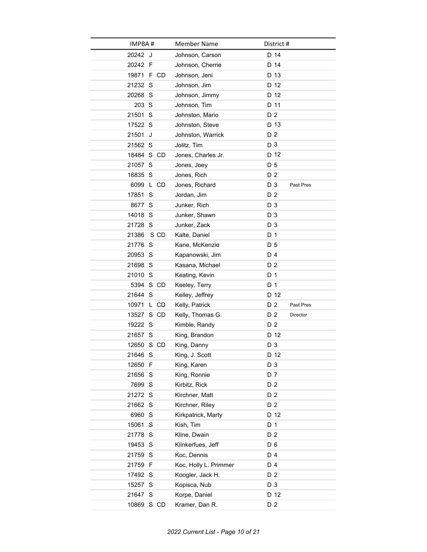| IMPBA #       | <b>Member Name</b>    | District #                  |
|---------------|-----------------------|-----------------------------|
| 20242 J       | Johnson, Carson       | D 14                        |
| 20242 F       | Johnson, Cherrie      | D 14                        |
| 19871 F CD    | Johnson, Jeni         | D 13                        |
| 21232 S       | Johnson, Jim          | D 12                        |
| 20268 S       | Johnson, Jimmy        | D 12                        |
| 203 S         | Johnson, Tim          | D 11                        |
| 21501 S       | Johnston, Mario       | D <sub>2</sub>              |
| 17522 S       | Johnston, Steve       | D 13                        |
| 21501 J       | Johnston, Warrick     | D 2                         |
| 21562 S       | Jolitz, Tim           | D <sub>3</sub>              |
| 18484 S CD    | Jones, Charles Jr.    | D <sub>12</sub>             |
| 21057 S       | Jones, Joey           | D 5                         |
| 16835 S       | Jones, Rich           | D <sub>2</sub>              |
| 6099 L CD     | Jones, Richard        | D 3<br>Past Pres            |
| 17851 S       | Jordan, Jim           | D <sub>2</sub>              |
| 8677 S        | Junker, Rich          | D 3                         |
| 14018 S       | Junker, Shawn         | D 3                         |
| 21728 S       | Junker, Zack          | D 3                         |
| S CD<br>21386 | Kalte, Daniel         | D 1                         |
| 21776 S       | Kane, McKenzie        | D 5                         |
| 20953 S       | Kapanowski, Jim       | D 4                         |
| 21698 S       | Kasana, Michael       | D 2                         |
| 21010 S       | Keating, Kevin        | D <sub>1</sub>              |
| 5394 S CD     | Keeley, Terry         | D 1                         |
| 21644 S       | Kelley, Jeffrey       | D 12                        |
| 10971 L CD    | Kelly, Patrick        | D <sub>2</sub><br>Past Pres |
| 13527 S CD    | Kelly, Thomas G.      | D 2<br>Director             |
| 19222 S       | Kimble, Randy         | D <sub>2</sub>              |
| 21657 S       | King, Brandon         | D 12                        |
| 12650 S CD    | King, Danny           | D <sub>3</sub>              |
| 21646 S       | King, J. Scott        | D 12                        |
| 12650 F       | King, Karen           | D <sub>3</sub>              |
| 21656 S       | King, Ronnie          | D 7                         |
| 7699 S        | Kirbitz, Rick         | D 2                         |
| 21272 S       | Kirchner, Matt        | D 2                         |
| 21662 S       | Kirchner, Riley       | D 2                         |
| 6960 S        | Kirkpatrick, Marty    | D 12                        |
| 15061 S       | Kish, Tim             | D 1                         |
| 21778 S       | Kline, Dwain          | D 2                         |
| 19453 S       | Klinkerfues, Jeff     | D 6                         |
| 21759 S       | Koc, Dennis           | D 4                         |
| 21759 F       | Koc, Holly L. Primmer | D 4                         |
| 17492 S       | Koogler, Jack H.      | D 2                         |
| 15257 S       | Kopisca, Nub          | D 3                         |
| 21647 S       | Korpe, Daniel         | D 12                        |
| 10869 S CD    | Kramer, Dan R.        | D 2                         |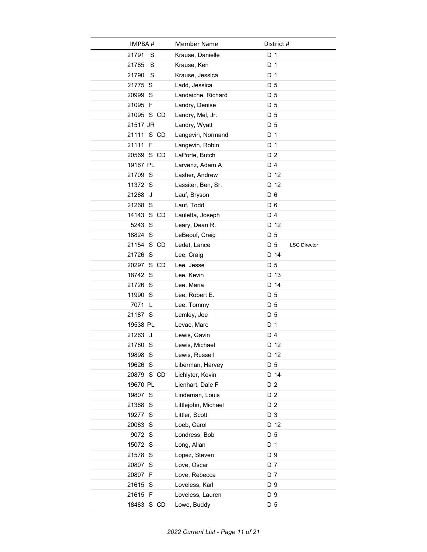| IMPBA#     | <b>Member Name</b>  | District #                 |
|------------|---------------------|----------------------------|
| 21791<br>S | Krause, Danielle    | D 1                        |
| 21785<br>S | Krause, Ken         | D 1                        |
| S<br>21790 | Krause, Jessica     | D 1                        |
| 21775 S    | Ladd, Jessica       | D 5                        |
| 20999 S    | Landaiche, Richard  | D <sub>5</sub>             |
| 21095 F    | Landry, Denise      | D 5                        |
| 21095 S CD | Landry, Mel, Jr.    | D 5                        |
| 21517 JR   | Landry, Wyatt       | D 5                        |
| 21111 S CD | Langevin, Normand   | D 1                        |
| 21111 F    | Langevin, Robin     | D 1                        |
| 20569 S CD | LaPorte, Butch      | D <sub>2</sub>             |
| 19167 PL   | Larvenz, Adam A     | D 4                        |
| 21709 S    | Lasher, Andrew      | D 12                       |
| 11372 S    | Lassiter, Ben, Sr.  | D 12                       |
| 21268 J    | Lauf, Bryson        | D <sub>6</sub>             |
| 21268 S    | Lauf, Todd          | D 6                        |
| 14143 S CD | Lauletta, Joseph    | D 4                        |
| 5243 S     | Leary, Dean R.      | D 12                       |
| 18824 S    | LeBeouf, Craig      | D 5                        |
| 21154 S CD | Ledet, Lance        | D 5<br><b>LSG Director</b> |
| 21726 S    | Lee, Craig          | D 14                       |
| 20297 S CD | Lee, Jesse          | D 5                        |
| 18742 S    | Lee, Kevin          | D 13                       |
| 21726 S    | Lee, Maria          | D 14                       |
| 11990 S    | Lee, Robert E.      | D 5                        |
| 7071 L     | Lee, Tommy          | D 5                        |
| 21187 S    | Lemley, Joe         | D 5                        |
| 19538 PL   | Levac, Marc         | D <sub>1</sub>             |
| 21263 J    | Lewis, Gavin        | D 4                        |
| 21780 S    | Lewis, Michael      | D 12                       |
| 19898 S    | Lewis, Russell      | D 12                       |
| 19626 S    | Liberman, Harvey    | D 5                        |
| 20879 S CD | Lichlyter, Kevin    | D 14                       |
| 19670 PL   | Lienhart, Dale F    | D 2                        |
| 19807 S    | Lindeman, Louis     | D 2                        |
| 21368 S    | Littlejohn, Michael | D 2                        |
| 19277 S    | Littler, Scott      | D 3                        |
| 20063 S    | Loeb, Carol         | D 12                       |
| 9072 S     | Londress, Bob       | D 5                        |
| 15072 S    | Long, Allan         | D 1                        |
| 21578 S    | Lopez, Steven       | D 9                        |
| 20807 S    | Love, Oscar         | D 7                        |
| 20807 F    | Love, Rebecca       | D 7                        |
| 21615 S    | Loveless, Karl      | D 9                        |
| 21615 F    | Loveless, Lauren    | D 9                        |
| 18483 S CD | Lowe, Buddy         | D 5                        |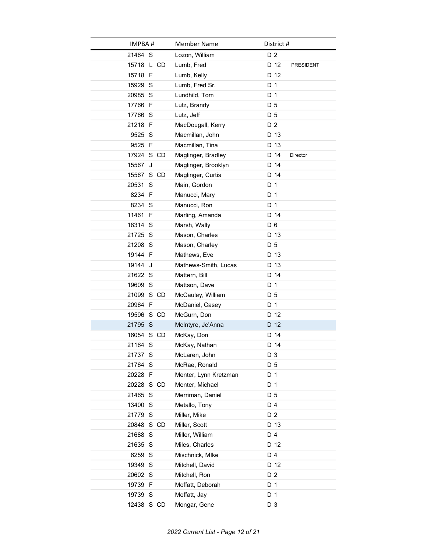| <b>IMPBA#</b> | <b>Member Name</b>    | District #     |                |           |
|---------------|-----------------------|----------------|----------------|-----------|
| 21464 S       | Lozon, William        |                | D <sub>2</sub> |           |
| 15718 L CD    | Lumb, Fred            |                | D 12           | PRESIDENT |
| 15718 F       | Lumb, Kelly           |                | D 12           |           |
| 15929 S       | Lumb, Fred Sr.        |                | D 1            |           |
| 20985 S       | Lundhild, Tom         | D <sub>1</sub> |                |           |
| 17766 F       | Lutz, Brandy          |                | D 5            |           |
| 17766 S       | Lutz, Jeff            |                | D 5            |           |
| 21218 F       | MacDougall, Kerry     |                | D 2            |           |
| 9525 S        | Macmillan, John       |                | D 13           |           |
| 9525 F        | Macmillan, Tina       |                | D 13           |           |
| 17924 S CD    | Maglinger, Bradley    |                | D 14           | Director  |
| 15567<br>J    | Maglinger, Brooklyn   |                | D 14           |           |
| 15567 S CD    | Maglinger, Curtis     |                | D 14           |           |
| 20531 S       | Main, Gordon          |                | D 1            |           |
| 8234 F        | Manucci, Mary         | D 1            |                |           |
| 8234 S        | Manucci, Ron          |                | D 1            |           |
| 11461 F       | Marling, Amanda       |                | D 14           |           |
| 18314 S       | Marsh, Wally          |                | D <sub>6</sub> |           |
| 21725 S       | Mason, Charles        |                | D 13           |           |
| 21208 S       | Mason, Charley        |                | D 5            |           |
| 19144 F       | Mathews, Eve          |                | D 13           |           |
| 19144 J       | Mathews-Smith, Lucas  |                | D 13           |           |
| 21622 S       | Mattern, Bill         |                | D 14           |           |
| 19609 S       | Mattson, Dave         |                | D 1            |           |
| 21099 S CD    | McCauley, William     |                | D 5            |           |
| 20964 F       | McDaniel, Casey       | D 1            |                |           |
| 19596 S CD    | McGurn, Don           |                | D 12           |           |
| 21795 S       | McIntyre, Je'Anna     |                | D 12           |           |
| 16054 S CD    | McKay, Don            |                | D 14           |           |
| 21164 S       | McKay, Nathan         |                | D 14           |           |
| 21737 S       | McLaren, John         |                | D 3            |           |
| 21764 S       | McRae, Ronald         |                | D 5            |           |
| 20228 F       | Menter, Lynn Kretzman | D 1            |                |           |
| 20228 S CD    | Menter, Michael       | D 1            |                |           |
| 21465 S       | Merriman, Daniel      |                | D 5            |           |
| 13400 S       | Metallo, Tony         |                | D 4            |           |
| 21779 S       | Miller, Mike          |                | D 2            |           |
| 20848 S CD    | Miller, Scott         |                | D 13           |           |
| 21688 S       | Miller, William       |                | D 4            |           |
| 21635 S       | Miles, Charles        |                | D 12           |           |
| 6259 S        | Mischnick, Mlke       |                | D 4            |           |
| 19349 S       | Mitchell, David       |                | D 12           |           |
| 20602 S       | Mitchell, Ron         |                | D 2            |           |
| 19739 F       | Moffatt, Deborah      | D 1            |                |           |
| 19739 S       | Moffatt, Jay          |                | D 1            |           |
| 12438 S CD    | Mongar, Gene          |                | D 3            |           |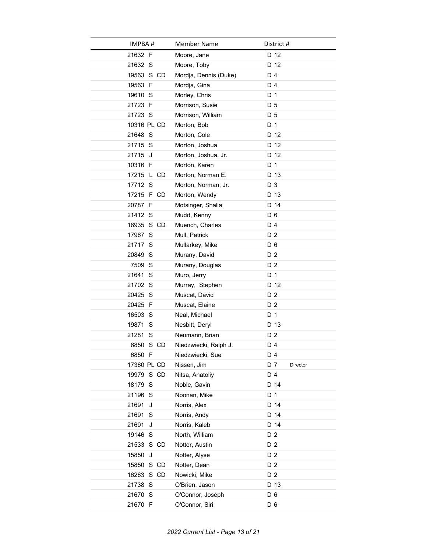| IMPBA#      | <b>Member Name</b>    | District #      |
|-------------|-----------------------|-----------------|
| 21632 F     | Moore, Jane           | D 12            |
| 21632 S     | Moore, Toby           | D 12            |
| 19563 S CD  | Mordja, Dennis (Duke) | D 4             |
| 19563 F     | Mordja, Gina          | D 4             |
| 19610 S     | Morley, Chris         | D <sub>1</sub>  |
| 21723 F     | Morrison, Susie       | D 5             |
| 21723 S     | Morrison, William     | D 5             |
| 10316 PL CD | Morton, Bob           | D 1             |
| 21648 S     | Morton, Cole          | D 12            |
| 21715 S     | Morton, Joshua        | D 12            |
| 21715 J     | Morton, Joshua, Jr.   | D 12            |
| 10316 F     | Morton, Karen         | D <sub>1</sub>  |
| 17215 L CD  | Morton, Norman E.     | D 13            |
| 17712 S     | Morton, Norman, Jr.   | D 3             |
| 17215 F CD  | Morton, Wendy         | D 13            |
| 20787 F     | Motsinger, Shalla     | D 14            |
| 21412 S     | Mudd, Kenny           | D <sub>6</sub>  |
| 18935 S CD  | Muench, Charles       | D 4             |
| 17967 S     | Mull, Patrick         | D 2             |
| 21717 S     | Mullarkey, Mike       | D <sub>6</sub>  |
| 20849 S     | Murany, David         | D 2             |
| 7509 S      | Murany, Douglas       | D 2             |
| 21641 S     | Muro, Jerry           | D <sub>1</sub>  |
| 21702 S     | Murray, Stephen       | D 12            |
| 20425 S     | Muscat, David         | D 2             |
| 20425 F     | Muscat, Elaine        | D 2             |
| 16503 S     | Neal, Michael         | D 1             |
| 19871 S     | Nesbitt, Deryl        | D 13            |
| 21281 S     | Neumann, Brian        | D 2             |
| 6850 S CD   | Niedzwiecki, Ralph J. | D 4             |
| 6850 F      | Niedzwiecki, Sue      | D 4             |
| 17360 PL CD | Nissen, Jim           | D 7<br>Director |
| 19979 S CD  | Nitsa, Anatoliy       | D 4             |
| 18179 S     | Noble, Gavin          | D 14            |
| 21196 S     | Noonan, Mike          | D 1             |
| 21691<br>J  | Norris, Alex          | D 14            |
| 21691<br>S  | Norris, Andy          | D 14            |
| 21691<br>J  | Norris, Kaleb         | D 14            |
| 19146 S     | North, William        | D 2             |
| 21533 S CD  | Notter, Austin        | D <sub>2</sub>  |
| 15850<br>J  | Notter, Alyse         | D 2             |
| 15850 S CD  | Notter, Dean          | D 2             |
| 16263 S CD  | Nowicki, Mike         | D 2             |
| 21738 S     | O'Brien, Jason        | D 13            |
| 21670 S     | O'Connor, Joseph      | D <sub>6</sub>  |
| 21670 F     | O'Connor, Siri        | D <sub>6</sub>  |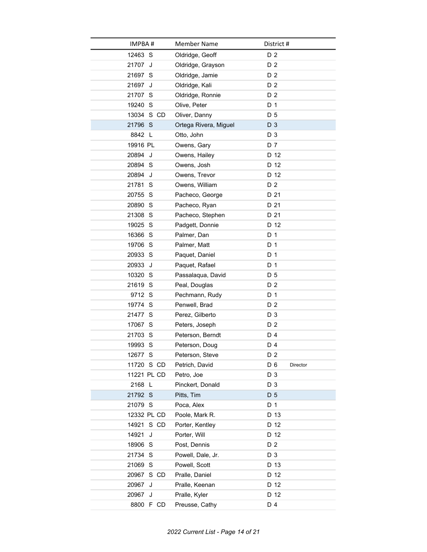| IMPBA#      | <b>Member Name</b>    | District #      |
|-------------|-----------------------|-----------------|
| 12463 S     | Oldridge, Geoff       | D <sub>2</sub>  |
| 21707 J     | Oldridge, Grayson     | D 2             |
| 21697 S     | Oldridge, Jamie       | D <sub>2</sub>  |
| 21697 J     | Oldridge, Kali        | D 2             |
| 21707 S     | Oldridge, Ronnie      | D <sub>2</sub>  |
| 19240 S     | Olive, Peter          | D 1             |
| 13034 S CD  | Oliver, Danny         | D 5             |
| 21796 S     | Ortega Rivera, Miguel | D 3             |
| 8842 L      | Otto, John            | D 3             |
| 19916 PL    | Owens, Gary           | D 7             |
| 20894 J     | Owens, Hailey         | D 12            |
| 20894 S     | Owens, Josh           | D 12            |
| 20894 J     | Owens, Trevor         | D 12            |
| 21781 S     | Owens, William        | D 2             |
| 20755 S     | Pacheco, George       | D 21            |
| 20890 S     | Pacheco, Ryan         | D 21            |
| 21308 S     | Pacheco, Stephen      | D 21            |
| 19025 S     | Padgett, Donnie       | D 12            |
| 16366 S     | Palmer, Dan           | D 1             |
| 19706 S     | Palmer, Matt          | D 1             |
| 20933 S     | Paquet, Daniel        | D 1             |
| 20933 J     | Paquet, Rafael        | D 1             |
| 10320 S     | Passalaqua, David     | D 5             |
| 21619 S     | Peal, Douglas         | D 2             |
| 9712 S      | Pechmann, Rudy        | D 1             |
| 19774 S     | Penwell, Brad         | D <sub>2</sub>  |
| 21477 S     | Perez, Gilberto       | D 3             |
| 17067 S     | Peters, Joseph        | D 2             |
| 21703 S     | Peterson, Berndt      | D 4             |
| 19993 S     | Peterson, Doug        | D 4             |
| 12677 S     | Peterson, Steve       | D 2             |
| 11720 S CD  | Petrich, David        | D 6<br>Director |
| 11221 PL CD | Petro, Joe            | D 3             |
| 2168 L      | Pinckert, Donald      | D 3             |
| 21792 S     | Pitts, Tim            | D 5             |
| 21079 S     | Poca, Alex            | D 1             |
| 12332 PL CD | Poole, Mark R.        | D 13            |
| 14921 S CD  | Porter, Kentley       | D 12            |
| 14921<br>J  | Porter, Will          | D 12            |
| 18906 S     | Post, Dennis          | D 2             |
| 21734 S     | Powell, Dale, Jr.     | D 3             |
| 21069 S     | Powell, Scott         | D 13            |
| 20967 S CD  | Pralle, Daniel        | D 12            |
| 20967<br>J  | Pralle, Keenan        | D 12            |
| 20967 J     | Pralle, Kyler         | D 12            |
| 8800 F CD   | Preusse, Cathy        | D 4             |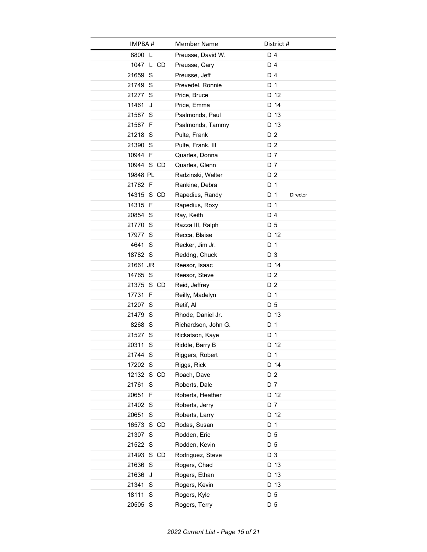| IMPBA #    | Member Name         | District #                        |
|------------|---------------------|-----------------------------------|
| 8800 L     | Preusse, David W.   | D 4                               |
| 1047 L CD  | Preusse, Gary       | D 4                               |
| 21659 S    | Preusse, Jeff       | D 4                               |
| 21749 S    | Prevedel, Ronnie    | D 1                               |
| 21277 S    | Price, Bruce        | D 12                              |
| 11461<br>J | Price, Emma         | D 14                              |
| 21587 S    | Psalmonds, Paul     | D 13                              |
| 21587 F    | Psalmonds, Tammy    | D 13                              |
| 21218 S    | Pulte, Frank        | D 2                               |
| 21390 S    | Pulte, Frank, III   | D 2                               |
| 10944 F    | Quarles, Donna      | D 7                               |
| 10944 S CD | Quarles, Glenn      | D 7                               |
| 19848 PL   | Radzinski, Walter   | D <sub>2</sub>                    |
| 21762 F    | Rankine, Debra      | D 1                               |
| 14315 S CD | Rapedius, Randy     | D <sub>1</sub><br><b>Director</b> |
| 14315 F    | Rapedius, Roxy      | D 1                               |
| 20854 S    | Ray, Keith          | D 4                               |
| 21770 S    | Razza III, Ralph    | D 5                               |
| 17977 S    | Recca, Blaise       | D 12                              |
| 4641 S     | Recker, Jim Jr.     | D 1                               |
| 18782 S    | Reddng, Chuck       | D 3                               |
| 21661 JR   | Reesor, Isaac       | D 14                              |
| 14765 S    | Reesor, Steve       | D 2                               |
| 21375 S CD | Reid, Jeffrey       | D 2                               |
| 17731 F    | Reilly, Madelyn     | D 1                               |
| 21207 S    | Retif, Al           | D 5                               |
| 21479 S    | Rhode, Daniel Jr.   | D 13                              |
| 8268 S     | Richardson, John G. | D <sub>1</sub>                    |
| 21527 S    | Rickatson, Kaye     | D 1                               |
| 20311 S    | Riddle, Barry B     | D 12                              |
| 21744 S    | Riggers, Robert     | D 1                               |
| 17202 S    | Riggs, Rick         | D 14                              |
| 12132 S CD | Roach, Dave         | D 2                               |
| 21761 S    | Roberts, Dale       | D 7                               |
| 20651 F    | Roberts, Heather    | D 12                              |
| 21402 S    | Roberts, Jerry      | D 7                               |
| 20651 S    | Roberts, Larry      | D 12                              |
| 16573 S CD | Rodas, Susan        | D 1                               |
| 21307 S    | Rodden, Eric        | D 5                               |
| 21522 S    | Rodden, Kevin       | D 5                               |
| 21493 S CD | Rodriguez, Steve    | D 3                               |
| 21636 S    | Rogers, Chad        | D 13                              |
| 21636 J    | Rogers, Ethan       | D 13                              |
| 21341 S    | Rogers, Kevin       | D 13                              |
| 18111 S    | Rogers, Kyle        | D 5                               |
| 20505 S    | Rogers, Terry       | D 5                               |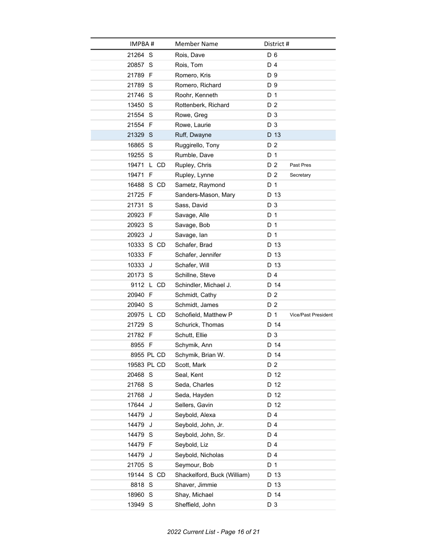| IMPBA#      | Member Name                 | District #                        |
|-------------|-----------------------------|-----------------------------------|
| 21264 S     | Rois, Dave                  | D 6                               |
| 20857 S     | Rois, Tom                   | D 4                               |
| 21789 F     | Romero, Kris                | D 9                               |
| 21789 S     | Romero, Richard             | D 9                               |
| 21746 S     | Roohr, Kenneth              | D <sub>1</sub>                    |
| 13450 S     | Rottenberk, Richard         | D <sub>2</sub>                    |
| 21554 S     | Rowe, Greg                  | D 3                               |
| 21554 F     | Rowe, Laurie                | D <sub>3</sub>                    |
| 21329 S     | Ruff, Dwayne                | D 13                              |
| 16865 S     | Ruggirello, Tony            | D 2                               |
| 19255 S     | Rumble, Dave                | D 1                               |
| 19471 L CD  | Rupley, Chris               | D <sub>2</sub><br>Past Pres       |
| 19471 F     | Rupley, Lynne               | D 2<br>Secretary                  |
| 16488 S CD  | Sametz, Raymond             | D 1                               |
| 21725 F     | Sanders-Mason, Mary         | D 13                              |
| 21731 S     | Sass, David                 | D <sub>3</sub>                    |
| 20923 F     | Savage, Alle                | D 1                               |
| 20923 S     | Savage, Bob                 | D 1                               |
| 20923 J     | Savage, lan                 | D 1                               |
| 10333 S CD  | Schafer, Brad               | D 13                              |
| 10333 F     | Schafer, Jennifer           | D 13                              |
| 10333 J     | Schafer, Will               | D 13                              |
| 20173 S     | Schillne, Steve             | D 4                               |
| 9112 L CD   | Schindler, Michael J.       | D 14                              |
| 20940 F     | Schmidt, Cathy              | D 2                               |
| 20940 S     | Schmidt, James              | D <sub>2</sub>                    |
| 20975 L CD  | Schofield, Matthew P        | D 1<br><b>Vice/Past President</b> |
| 21729 S     | Schurick, Thomas            | D 14                              |
| 21782 F     | Schutt, Ellie               | D <sub>3</sub>                    |
| 8955 F      | Schymik, Ann                | D 14                              |
| 8955 PL CD  | Schymik, Brian W.           | D 14                              |
| 19583 PL CD | Scott, Mark                 | D <sub>2</sub>                    |
| 20468 S     | Seal, Kent                  | D 12                              |
| 21768 S     | Seda, Charles               | D 12                              |
| 21768 J     | Seda, Hayden                | D 12                              |
| 17644 J     | Sellers, Gavin              | D 12                              |
| 14479 J     | Seybold, Alexa              | D 4                               |
| 14479 J     | Seybold, John, Jr.          | D 4                               |
| 14479 S     | Seybold, John, Sr.          | D 4                               |
| 14479 F     | Seybold, Liz                | D 4                               |
| 14479<br>J  | Seybold, Nicholas           | D 4                               |
| 21705 S     | Seymour, Bob                | D 1                               |
| 19144 S CD  | Shackelford, Buck (William) | D 13                              |
| 8818 S      | Shaver, Jimmie              | D 13                              |
| 18960 S     | Shay, Michael               | D 14                              |
| 13949 S     | Sheffield, John             | D 3                               |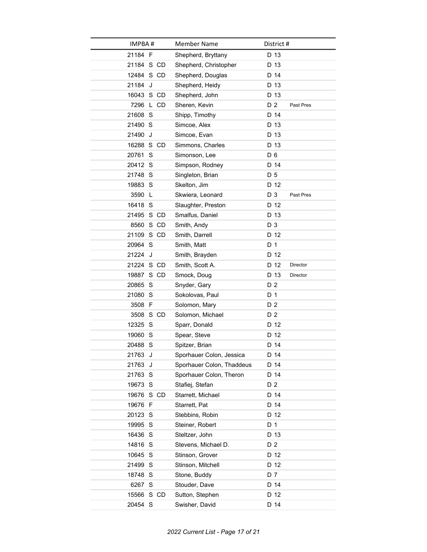| IMPBA#     |           | Member Name               | District #     |           |
|------------|-----------|---------------------------|----------------|-----------|
| 21184 F    |           | Shepherd, Bryttany        | D 13           |           |
| 21184 S CD |           | Shepherd, Christopher     | D 13           |           |
| 12484 S CD |           | Shepherd, Douglas         | D 14           |           |
| 21184      | J         | Shepherd, Heidy           | D 13           |           |
| 16043 S CD |           | Shepherd, John            | D 13           |           |
|            | 7296 L CD | Sheren, Kevin             | D <sub>2</sub> | Past Pres |
| 21608 S    |           | Shipp, Timothy            | D 14           |           |
| 21490 S    |           | Simcoe, Alex              | D 13           |           |
| 21490 J    |           | Simcoe, Evan              | D 13           |           |
| 16288 S CD |           | Simmons, Charles          | D 13           |           |
| 20761      | S         | Simonson, Lee             | D <sub>6</sub> |           |
| 20412 S    |           | Simpson, Rodney           | D 14           |           |
| 21748 S    |           | Singleton, Brian          | D 5            |           |
| 19883 S    |           | Skelton, Jim              | D 12           |           |
| 3590       | L.        | Skwiera, Leonard          | D 3            | Past Pres |
| 16418 S    |           | Slaughter, Preston        | D 12           |           |
| 21495 S CD |           | Smalfus, Daniel           | D 13           |           |
|            | 8560 S CD | Smith, Andy               | D 3            |           |
| 21109 S CD |           | Smith, Darrell            | D 12           |           |
| 20964 S    |           | Smith, Matt               | D <sub>1</sub> |           |
| 21224 J    |           | Smith, Brayden            | D 12           |           |
| 21224 S CD |           | Smith, Scott A.           | D 12           | Director  |
| 19887 S CD |           | Smock, Doug               | D 13           | Director  |
| 20865 S    |           | Snyder, Gary              | D 2            |           |
| 21080 S    |           | Sokolovas, Paul           | D 1            |           |
| 3508 F     |           | Solomon, Mary             | D 2            |           |
|            | 3508 S CD | Solomon, Michael          | D 2            |           |
| 12325 S    |           | Sparr, Donald             | D 12           |           |
| 19060 S    |           | Spear, Steve              | D 12           |           |
| 20488 S    |           | Spitzer, Brian            | D 14           |           |
| 21763 J    |           | Sporhauer Colon, Jessica  | D 14           |           |
| 21763      | J         | Sporhauer Colon, Thaddeus | D 14           |           |
| 21763 S    |           | Sporhauer Colon, Theron   | D 14           |           |
| 19673 S    |           | Stafiej, Stefan           | D 2            |           |
| 19676 S CD |           | Starrett, Michael         | D 14           |           |
| 19676 F    |           | Starrett, Pat             | D 14           |           |
| 20123 S    |           | Stebbins, Robin           | D 12           |           |
| 19995 S    |           | Steiner, Robert           | D 1            |           |
| 16436 S    |           | Steltzer, John            | D 13           |           |
| 14816 S    |           | Stevens, Michael D.       | D 2            |           |
| 10645 S    |           | Stinson, Grover           | D 12           |           |
| 21499 S    |           | Stinson, Mitchell         | D 12           |           |
| 18748 S    |           | Stone, Buddy              | D 7            |           |
| 6267 S     |           | Stouder, Dave             | D 14           |           |
| 15566 S CD |           | Sutton, Stephen           | D 12           |           |
| 20454 S    |           | Swisher, David            | D 14           |           |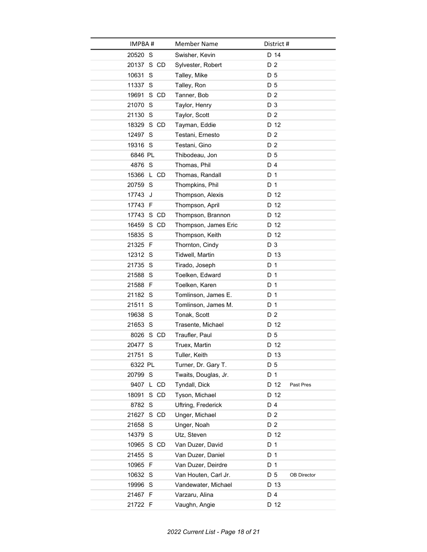| IMPBA#        | <b>Member Name</b>   | District #         |
|---------------|----------------------|--------------------|
| 20520 S       | Swisher, Kevin       | D 14               |
| 20137 S CD    | Sylvester, Robert    | D 2                |
| 10631 S       | Talley, Mike         | D 5                |
| 11337 S       | Talley, Ron          | D 5                |
| 19691 S CD    | Tanner, Bob          | D <sub>2</sub>     |
| 21070 S       | Taylor, Henry        | D 3                |
| 21130 S       | Taylor, Scott        | D 2                |
| 18329 S CD    | Tayman, Eddie        | D 12               |
| 12497 S       | Testani, Ernesto     | D 2                |
| 19316 S       | Testani, Gino        | D <sub>2</sub>     |
| 6846 PL       | Thibodeau, Jon       | D 5                |
| 4876 S        | Thomas, Phil         | D 4                |
| 15366 L CD    | Thomas, Randall      | D 1                |
| 20759 S       | Thompkins, Phil      | D 1                |
| 17743 J       | Thompson, Alexis     | D 12               |
| 17743 F       | Thompson, April      | D 12               |
| 17743 S CD    | Thompson, Brannon    | D 12               |
| 16459 S CD    | Thompson, James Eric | D 12               |
| 15835 S       | Thompson, Keith      | D 12               |
| 21325 F       | Thornton, Cindy      | D 3                |
| 12312 S       | Tidwell, Martin      | D 13               |
| 21735 S       | Tirado, Joseph       | D 1                |
| 21588 S       | Toelken, Edward      | D 1                |
| 21588 F       | Toelken, Karen       | D 1                |
| 21182 S       | Tomlinson, James E.  | D 1                |
| 21511 S       | Tomlinson, James M.  | D 1                |
| 19638 S       | Tonak, Scott         | D 2                |
| 21653 S       | Trasente, Michael    | D 12               |
| 8026 S CD     | Traufler, Paul       | D 5                |
| 20477 S       | Truex, Martin        | D 12               |
| 21751 S       | Tuller, Keith        | D 13               |
| 6322 PL       | Turner, Dr. Gary T.  | D 5                |
| 20799 S       | Twaits, Douglas, Jr. | D 1                |
| 9407 L CD     | Tyndall, Dick        | D 12<br>Past Pres  |
| 18091<br>S CD | Tyson, Michael       | D 12               |
| 8782 S        | Uftring, Frederick   | D 4                |
| 21627 S CD    | Unger, Michael       | D 2                |
| 21658 S       | Unger, Noah          | D 2                |
| 14379 S       | Utz, Steven          | D 12               |
| 10965 S CD    | Van Duzer, David     | D 1                |
| 21455 S       | Van Duzer, Daniel    | D 1                |
| 10965 F       | Van Duzer, Deirdre   | D 1                |
| 10632 S       | Van Houten, Carl Jr. | D 5<br>OB Director |
| 19996 S       | Vandewater, Michael  | D 13               |
| 21467 F       | Varzaru, Alina       | D 4                |
| 21722 F       | Vaughn, Angie        | D 12               |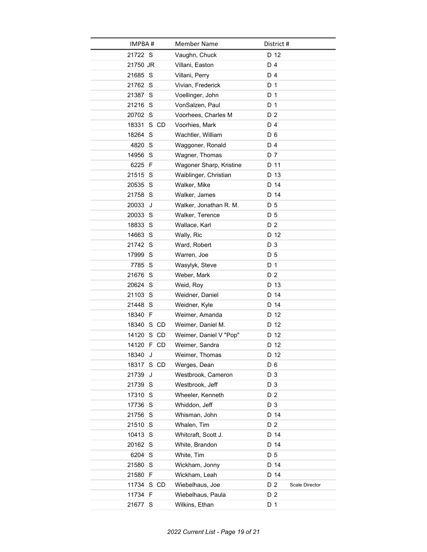| IMPBA#     | <b>Member Name</b>      | District #            |
|------------|-------------------------|-----------------------|
| 21722 S    | Vaughn, Chuck           | D 12                  |
| 21750 JR   | Villani, Easton         | D 4                   |
| 21685 S    | Villani, Perry          | D 4                   |
| 21762 S    | Vivian, Frederick       | D 1                   |
| 21387 S    | Voellinger, John        | D <sub>1</sub>        |
| 21216 S    | VonSalzen, Paul         | D 1                   |
| 20702 S    | Voorhees, Charles M     | D 2                   |
| 18331 S CD | Voorhies, Mark          | D 4                   |
| 18264 S    | Wachtler, William       | D 6                   |
| 4820 S     | Waggoner, Ronald        | D 4                   |
| 14956 S    | Wagner, Thomas          | D 7                   |
| 6225 F     | Wagoner Sharp, Kristine | D 11                  |
| 21515 S    | Waiblinger, Christian   | D 13                  |
| 20535 S    | Walker, Mike            | D 14                  |
| 21758 S    | Walker, James           | D 14                  |
| 20033<br>J | Walker, Jonathan R. M.  | D 5                   |
| 20033 S    | Walker, Terence         | D 5                   |
| 18833 S    | Wallace, Karl           | D 2                   |
| 14663 S    | Wally, Ric              | D 12                  |
| 21742 S    | Ward, Robert            | D 3                   |
| 17999 S    | Warren, Joe             | D 5                   |
| 7785 S     | Wasylyk, Steve          | D 1                   |
| 21676 S    | Weber, Mark             | D <sub>2</sub>        |
| 20624 S    | Weid, Roy               | D 13                  |
| 21103 S    | Weidner, Daniel         | D 14                  |
| 21448 S    | Weidner, Kyle           | D 14                  |
| 18340 F    | Weimer, Amanda          | D 12                  |
| 18340 S CD | Weimer, Daniel M.       | D 12                  |
| 14120 S CD | Weimer, Daniel V "Pop"  | D 12                  |
| 14120 F CD | Weimer, Sandra          | D 12                  |
| 18340 J    | Weimer, Thomas          | D 12                  |
| 18317 S CD | Werges, Dean            | D 6                   |
| 21739 J    | Westbrook, Cameron      | D 3                   |
| 21739 S    | Westbrook, Jeff         | D <sub>3</sub>        |
| 17310 S    | Wheeler, Kenneth        | D 2                   |
| 17736 S    | Whiddon, Jeff           | D 3                   |
| 21756 S    | Whisman, John           | D 14                  |
| 21510 S    | Whalen, Tim             | D 2                   |
| 10413 S    | Whitcraft, Scott J.     | D 14                  |
| 20162 S    | White, Brandon          | D 14                  |
| 6204 S     | White, Tim              | D 5                   |
| 21580 S    | Wickham, Jonny          | D 14                  |
| 21580 F    | Wickham, Leah           | D 14                  |
| 11734 S CD | Wiebelhaus, Joe         | D 2<br>Scale Director |
| 11734 F    | Wiebelhaus, Paula       | D 2                   |
| 21677 S    | Wilkins, Ethan          | D 1                   |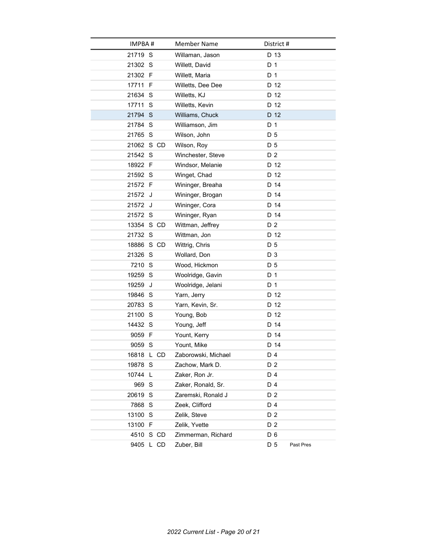| IMPBA#     |           | <b>Member Name</b>  | District #     |           |
|------------|-----------|---------------------|----------------|-----------|
| 21719 S    |           | Willaman, Jason     | D 13           |           |
| 21302 S    |           | Willett, David      | D 1            |           |
| 21302 F    |           | Willett, Maria      | D 1            |           |
| 17711 F    |           | Willetts, Dee Dee   | D 12           |           |
| 21634 S    |           | Willetts, KJ        | D 12           |           |
| 17711 S    |           | Willetts, Kevin     | D 12           |           |
| 21794 S    |           | Williams, Chuck     | D 12           |           |
| 21784 S    |           | Williamson, Jim     | D 1            |           |
| 21765 S    |           | Wilson, John        | D 5            |           |
| 21062 S CD |           | Wilson, Roy         | D <sub>5</sub> |           |
| 21542 S    |           | Winchester, Steve   | D 2            |           |
| 18922 F    |           | Windsor, Melanie    | D 12           |           |
| 21592 S    |           | Winget, Chad        | D 12           |           |
| 21572 F    |           | Wininger, Breaha    | D 14           |           |
| 21572 J    |           | Wininger, Brogan    | D 14           |           |
| 21572 J    |           | Wininger, Cora      | D 14           |           |
| 21572 S    |           | Wininger, Ryan      | D 14           |           |
| 13354 S CD |           | Wittman, Jeffrey    | D <sub>2</sub> |           |
| 21732 S    |           | Wittman, Jon        | D 12           |           |
| 18886 S CD |           | Wittrig, Chris      | D 5            |           |
| 21326 S    |           | Wollard, Don        | D 3            |           |
| 7210 S     |           | Wood, Hickmon       | D 5            |           |
| 19259 S    |           | Woolridge, Gavin    | D 1            |           |
| 19259      | J         | Woolridge, Jelani   | D 1            |           |
| 19846 S    |           | Yarn, Jerry         | D 12           |           |
| 20783 S    |           | Yarn, Kevin, Sr.    | D 12           |           |
| 21100 S    |           | Young, Bob          | D 12           |           |
| 14432 S    |           | Young, Jeff         | D 14           |           |
| 9059 F     |           | Yount, Kerry        | D 14           |           |
| 9059 S     |           | Yount, Mike         | D 14           |           |
| 16818 L CD |           | Zaborowski, Michael | D 4            |           |
| 19878 S    |           | Zachow, Mark D.     | D 2            |           |
| 10744      | L         | Zaker, Ron Jr.      | D 4            |           |
| 969 S      |           | Zaker, Ronald, Sr.  | D 4            |           |
| 20619 S    |           | Zaremski, Ronald J  | D 2            |           |
| 7868 S     |           | Zeek, Clifford      | D 4            |           |
| 13100 S    |           | Zelik, Steve        | D <sub>2</sub> |           |
| 13100 F    |           | Zelik, Yvette       | D <sub>2</sub> |           |
| 4510       | S CD      | Zimmerman, Richard  | D 6            |           |
|            | 9405 L CD | Zuber, Bill         | D 5            | Past Pres |